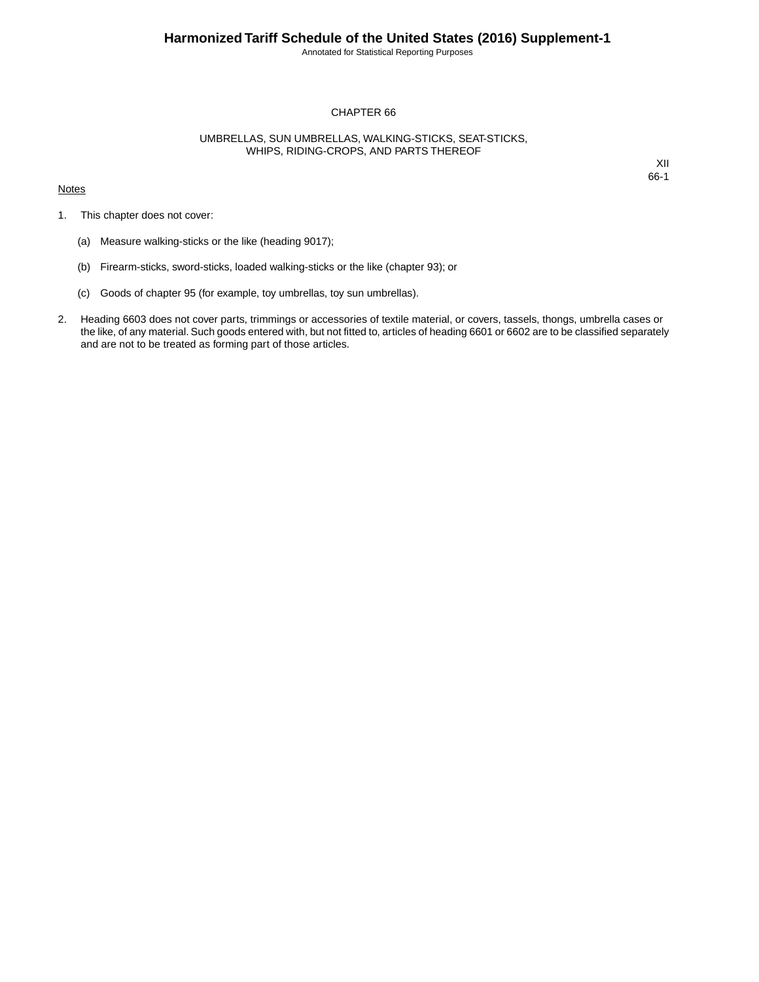Annotated for Statistical Reporting Purposes

## CHAPTER 66

## UMBRELLAS, SUN UMBRELLAS, WALKING-STICKS, SEAT-STICKS, WHIPS, RIDING-CROPS, AND PARTS THEREOF

## **Notes**

XII 66-1

- 1. This chapter does not cover:
	- (a) Measure walking-sticks or the like (heading 9017);
	- (b) Firearm-sticks, sword-sticks, loaded walking-sticks or the like (chapter 93); or
	- (c) Goods of chapter 95 (for example, toy umbrellas, toy sun umbrellas).
- 2. Heading 6603 does not cover parts, trimmings or accessories of textile material, or covers, tassels, thongs, umbrella cases or the like, of any material. Such goods entered with, but not fitted to, articles of heading 6601 or 6602 are to be classified separately and are not to be treated as forming part of those articles.